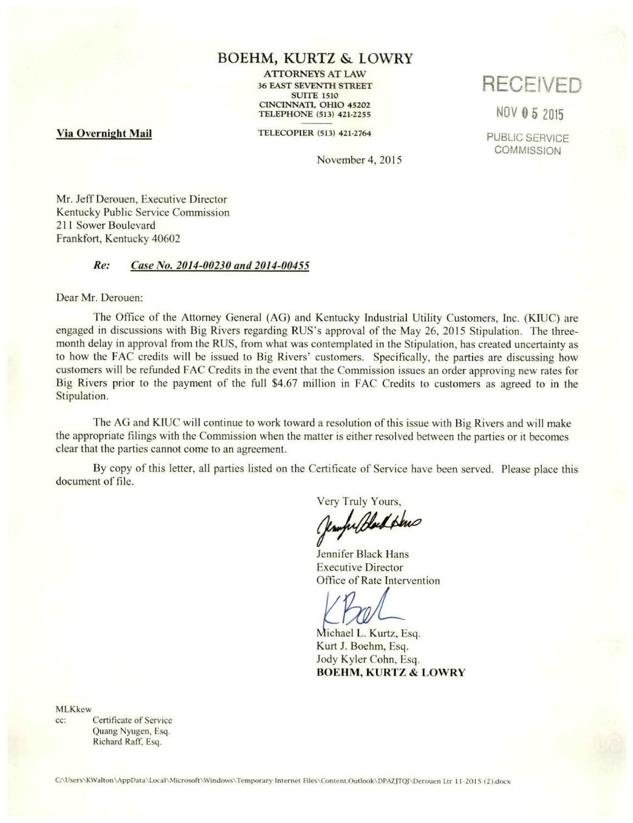## BOEHM, KURTZ & LOWRY

ATTORNEYS AT LAW 36 EAST SEVENTH STREET SUITE 1510 CINCINNATI, OHIO 45202 TELEPHONE (513) 421-2255

Via Overnight Mail

TELECOPIER (513) 421-2764

November 4, 2015

RECEIVED

N0V 05 2015

PUBLIC SERVICE **COMMISSION** 

Mr. Jeff Derouen, Executive Director Kentucky Public Service Commission 211 Sower Boulevard Frankfort, Kentucky 40602

## Re: Case No, 2014-00230 and 2014-00455

Dear Mr. Derouen:

The Office of the Attorney General (AG) and Kentucky Industrial Utility Customers, Inc. (KIUC) are engaged in discussions with Big Rivers regarding RUS's approval of the May 26, 2015 Stipulation. The threemonth delay in approval from the RUS, from what was contemplated in the Stipulation, has created uncertainty as to how the FAC credits will be issued to Big Rivers' customers. Specifically, the parties are discussing how customers will be refunded FAC Credits in the event that the Commission issues an order approving new rates for Big Rivers prior to the payment of the full \$4.67 million in FAC Credits to customers as agreed to in the Stipulation.

The AG and KIUC will continue to work toward a resolution of this issue with Big Rivers and will make the appropriate filings with the Commission when the matter is either resolved between the parties or it becomes clear that the parties cannot come to an agreement.

By copy of this letter, all parties listed on the Certificate of Service have been served. Please place this document of file.

Very Truly Yours,<br>(umprobled plus

Jennifer Black Hans Executive Director Office of Rate Intervention

Michael L. Kurtz, Esq. Kurt J. Boehm, Esq. Jody Kyler Cohn, Esq. BOEHM, KURTZ & LOWRY

MLKkew

cc: Certificate of Service Quang Nyugen, Esq. Richard Raff. Esq.

C:\Users\KWalton\AppData\Local\Microsoft\Windows\Temporary Internet Files\Content.Outlook\DPAZJTQJ\Derouen Ltr 11-2015 (2).docx